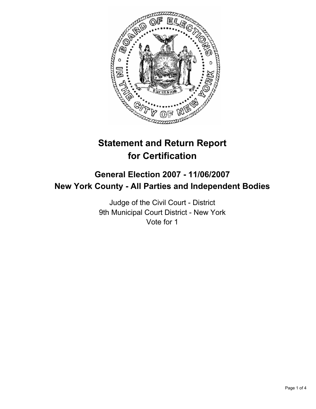

# **Statement and Return Report for Certification**

## **General Election 2007 - 11/06/2007 New York County - All Parties and Independent Bodies**

Judge of the Civil Court - District 9th Municipal Court District - New York Vote for 1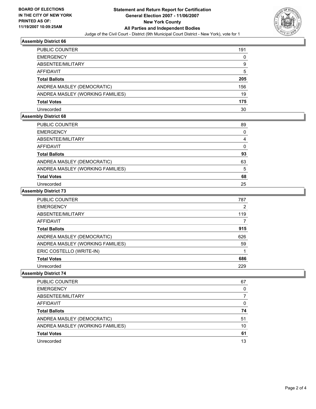

## **Assembly District 66**

| <b>PUBLIC COUNTER</b>            | 191 |
|----------------------------------|-----|
| <b>EMERGENCY</b>                 | 0   |
| ABSENTEE/MILITARY                | 9   |
| <b>AFFIDAVIT</b>                 | 5   |
| <b>Total Ballots</b>             | 205 |
| ANDREA MASLEY (DEMOCRATIC)       | 156 |
| ANDREA MASLEY (WORKING FAMILIES) | 19  |
| <b>Total Votes</b>               | 175 |
| Unrecorded                       | 30  |

#### **Assembly District 68**

| PUBLIC COUNTER                   | 89 |
|----------------------------------|----|
| <b>EMERGENCY</b>                 |    |
| ABSENTEE/MILITARY                |    |
| AFFIDAVIT                        |    |
| <b>Total Ballots</b>             | 93 |
| ANDREA MASLEY (DEMOCRATIC)       | 63 |
| ANDREA MASLEY (WORKING FAMILIES) | 5  |
| <b>Total Votes</b>               | 68 |
| Unrecorded                       | 25 |

#### **Assembly District 73**

| PUBLIC COUNTER                   | 787 |
|----------------------------------|-----|
| <b>EMERGENCY</b>                 | 2   |
| ABSENTEE/MILITARY                | 119 |
| <b>AFFIDAVIT</b>                 |     |
| <b>Total Ballots</b>             | 915 |
| ANDREA MASLEY (DEMOCRATIC)       | 626 |
| ANDREA MASLEY (WORKING FAMILIES) | 59  |
| ERIC COSTELLO (WRITE-IN)         |     |
| <b>Total Votes</b>               | 686 |
| Unrecorded                       | 229 |

#### **Assembly District 74**

| <b>PUBLIC COUNTER</b>            | 67 |
|----------------------------------|----|
| <b>EMERGENCY</b>                 |    |
| ABSENTEE/MILITARY                |    |
| AFFIDAVIT                        |    |
| <b>Total Ballots</b>             | 74 |
| ANDREA MASLEY (DEMOCRATIC)       | 51 |
| ANDREA MASLEY (WORKING FAMILIES) | 10 |
| <b>Total Votes</b>               | 61 |
| Unrecorded                       | 13 |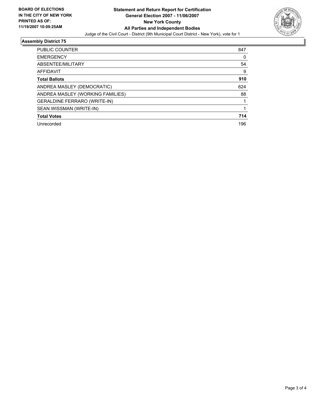

## **Assembly District 75**

| PUBLIC COUNTER<br>847                  |   |
|----------------------------------------|---|
| <b>EMERGENCY</b>                       | 0 |
| 54<br>ABSENTEE/MILITARY                |   |
| AFFIDAVIT                              | 9 |
| 910<br><b>Total Ballots</b>            |   |
| 624<br>ANDREA MASLEY (DEMOCRATIC)      |   |
| ANDREA MASLEY (WORKING FAMILIES)<br>88 |   |
| <b>GERALDINE FERRARO (WRITE-IN)</b>    |   |
| SEAN WISSMAN (WRITE-IN)                |   |
| 714<br><b>Total Votes</b>              |   |
| Unrecorded<br>196                      |   |